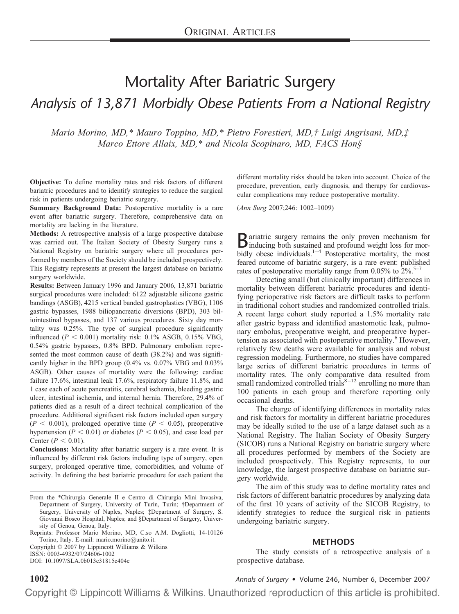# Mortality After Bariatric Surgery *Analysis of 13,871 Morbidly Obese Patients From a National Registry*

*Mario Morino, MD,\* Mauro Toppino, MD,\* Pietro Forestieri, MD,† Luigi Angrisani, MD,‡ Marco Ettore Allaix, MD,\* and Nicola Scopinaro, MD, FACS Hon§*

**Objective:** To define mortality rates and risk factors of different bariatric procedures and to identify strategies to reduce the surgical risk in patients undergoing bariatric surgery.

**Summary Background Data:** Postoperative mortality is a rare event after bariatric surgery. Therefore, comprehensive data on mortality are lacking in the literature.

**Methods:** A retrospective analysis of a large prospective database was carried out. The Italian Society of Obesity Surgery runs a National Registry on bariatric surgery where all procedures performed by members of the Society should be included prospectively. This Registry represents at present the largest database on bariatric surgery worldwide.

**Results:** Between January 1996 and January 2006, 13,871 bariatric surgical procedures were included: 6122 adjustable silicone gastric bandings (ASGB), 4215 vertical banded gastroplasties (VBG), 1106 gastric bypasses, 1988 biliopancreatic diversions (BPD), 303 biliointestinal bypasses, and 137 various procedures. Sixty day mortality was 0.25%. The type of surgical procedure significantly influenced  $(P < 0.001)$  mortality risk:  $0.1\%$  ASGB,  $0.15\%$  VBG, 0.54% gastric bypasses, 0.8% BPD. Pulmonary embolism represented the most common cause of death (38.2%) and was significantly higher in the BPD group (0.4% vs. 0.07% VBG and 0.03% ASGB). Other causes of mortality were the following: cardiac failure 17.6%, intestinal leak 17.6%, respiratory failure 11.8%, and 1 case each of acute pancreatitis, cerebral ischemia, bleeding gastric ulcer, intestinal ischemia, and internal hernia. Therefore, 29.4% of patients died as a result of a direct technical complication of the procedure. Additional significant risk factors included open surgery  $(P \leq 0.001)$ , prolonged operative time  $(P \leq 0.05)$ , preoperative hypertension ( $P < 0.01$ ) or diabetes ( $P < 0.05$ ), and case load per Center ( $P < 0.01$ ).

**Conclusions:** Mortality after bariatric surgery is a rare event. It is influenced by different risk factors including type of surgery, open surgery, prolonged operative time, comorbidities, and volume of activity. In defining the best bariatric procedure for each patient the

Copyright © 2007 by Lippincott Williams & Wilkins ISSN: 0003-4932/07/24606-1002

DOI: 10.1097/SLA.0b013e31815c404e

different mortality risks should be taken into account. Choice of the procedure, prevention, early diagnosis, and therapy for cardiovascular complications may reduce postoperative mortality.

(*Ann Surg* 2007;246: 1002–1009)

 $\bf{B}$  ariatric surgery remains the only proven mechanism for mor-<br>inducing both sustained and profound weight loss for morbidly obese individuals.<sup>1-4</sup> Postoperative mortality, the most feared outcome of bariatric surgery, is a rare event: published rates of postoperative mortality range from 0.05% to  $2\%$ <sup>5–7</sup>

Detecting small (but clinically important) differences in mortality between different bariatric procedures and identifying perioperative risk factors are difficult tasks to perform in traditional cohort studies and randomized controlled trials. A recent large cohort study reported a 1.5% mortality rate after gastric bypass and identified anastomotic leak, pulmonary embolus, preoperative weight, and preoperative hypertension as associated with postoperative mortality.<sup>6</sup> However, relatively few deaths were available for analysis and robust regression modeling. Furthermore, no studies have compared large series of different bariatric procedures in terms of mortality rates. The only comparative data resulted from small randomized controlled trials $8-12$  enrolling no more than 100 patients in each group and therefore reporting only occasional deaths.

The charge of identifying differences in mortality rates and risk factors for mortality in different bariatric procedures may be ideally suited to the use of a large dataset such as a National Registry. The Italian Society of Obesity Surgery (SICOB) runs a National Registry on bariatric surgery where all procedures performed by members of the Society are included prospectively. This Registry represents, to our knowledge, the largest prospective database on bariatric surgery worldwide.

The aim of this study was to define mortality rates and risk factors of different bariatric procedures by analyzing data of the first 10 years of activity of the SICOB Registry, to identify strategies to reduce the surgical risk in patients undergoing bariatric surgery.

### **METHODS**

The study consists of a retrospective analysis of a prospective database.

**1002** *Annals of Surgery* • Volume 246, Number 6, December 2007

From the \*Chirurgia Generale II e Centro di Chirurgia Mini Invasiva, Department of Surgery, University of Turin, Turin; †Department of Surgery, University of Naples, Naples; ‡Department of Surgery, S. Giovanni Bosco Hospital, Naples; and §Department of Surgery, University of Genoa, Genoa, Italy.

Reprints: Professor Mario Morino, MD, C.so A.M. Dogliotti, 14-10126 Torino, Italy. E-mail: mario.morino@unito.it.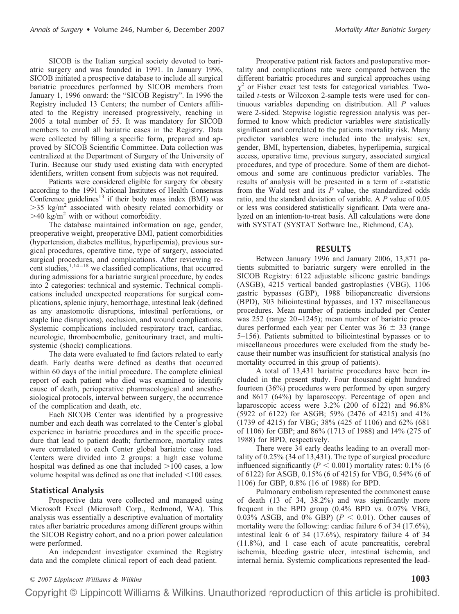SICOB is the Italian surgical society devoted to bariatric surgery and was founded in 1991. In January 1996, SICOB initiated a prospective database to include all surgical bariatric procedures performed by SICOB members from January 1, 1996 onward: the "SICOB Registry". In 1996 the Registry included 13 Centers; the number of Centers affiliated to the Registry increased progressively, reaching in 2005 a total number of 55. It was mandatory for SICOB members to enroll all bariatric cases in the Registry. Data were collected by filling a specific form, prepared and approved by SICOB Scientific Committee. Data collection was centralized at the Department of Surgery of the University of Turin. Because our study used existing data with encrypted identifiers, written consent from subjects was not required.

Patients were considered eligible for surgery for obesity according to the 1991 National Institutes of Health Consensus Conference guidelines<sup>13</sup> if their body mass index (BMI) was  $>$ 35 kg/m<sup>2</sup> associated with obesity related comorbidity or >40 kg/m<sup>2</sup> with or without comorbidity.

The database maintained information on age, gender, preoperative weight, preoperative BMI, patient comorbidities (hypertension, diabetes mellitus, hyperlipemia), previous surgical procedures, operative time, type of surgery, associated surgical procedures, and complications. After reviewing recent studies, $\frac{1}{114-18}$  we classified complications, that occurred during admissions for a bariatric surgical procedure, by codes into 2 categories: technical and systemic. Technical complications included unexpected reoperations for surgical complications, splenic injury, hemorrhage, intestinal leak (defined as any anastomotic disruptions, intestinal perforations, or staple line disruptions), occlusion, and wound complications. Systemic complications included respiratory tract, cardiac, neurologic, thromboembolic, genitourinary tract, and multisystemic (shock) complications.

The data were evaluated to find factors related to early death. Early deaths were defined as deaths that occurred within 60 days of the initial procedure. The complete clinical report of each patient who died was examined to identify cause of death, perioperative pharmacological and anesthesiological protocols, interval between surgery, the occurrence of the complication and death, etc.

Each SICOB Center was identified by a progressive number and each death was correlated to the Center's global experience in bariatric procedures and in the specific procedure that lead to patient death; furthermore, mortality rates were correlated to each Center global bariatric case load. Centers were divided into 2 groups: a high case volume hospital was defined as one that included  $>100$  cases, a low volume hospital was defined as one that included  $\leq 100$  cases.

### **Statistical Analysis**

Prospective data were collected and managed using Microsoft Excel (Microsoft Corp., Redmond, WA). This analysis was essentially a descriptive evaluation of mortality rates after bariatric procedures among different groups within the SICOB Registry cohort, and no a priori power calculation were performed.

An independent investigator examined the Registry data and the complete clinical report of each dead patient.

Preoperative patient risk factors and postoperative mortality and complications rate were compared between the different bariatric procedures and surgical approaches using  $\chi^2$  or Fisher exact test tests for categorical variables. Twotailed *t*-tests or Wilcoxon 2-sample tests were used for continuous variables depending on distribution. All *P* values were 2-sided. Stepwise logistic regression analysis was performed to know which predictor variables were statistically significant and correlated to the patients mortality risk. Many predictor variables were included into the analysis: sex, gender, BMI, hypertension, diabetes, hyperlipemia, surgical access, operative time, previous surgery, associated surgical procedures, and type of procedure. Some of them are dichotomous and some are continuous predictor variables. The results of analysis will be presented in a term of *z*-statistic from the Wald test and its *P* value, the standardized odds ratio, and the standard deviation of variable. A *P* value of 0.05 or less was considered statistically significant. Data were analyzed on an intention-to-treat basis. All calculations were done with SYSTAT (SYSTAT Software Inc., Richmond, CA).

### **RESULTS**

Between January 1996 and January 2006, 13,871 patients submitted to bariatric surgery were enrolled in the SICOB Registry: 6122 adjustable silicone gastric bandings (ASGB), 4215 vertical banded gastroplasties (VBG), 1106 gastric bypasses (GBP), 1988 biliopancreatic diversions (BPD), 303 biliointestinal bypasses, and 137 miscellaneous procedures. Mean number of patients included per Center was  $252$  (range  $20-1245$ ); mean number of bariatric procedures performed each year per Center was  $36 \pm 33$  (range 5–156). Patients submitted to biliointestinal bypasses or to miscellaneous procedures were excluded from the study because their number was insufficient for statistical analysis (no mortality occurred in this group of patients).

A total of 13,431 bariatric procedures have been included in the present study. Four thousand eight hundred fourteen (36%) procedures were performed by open surgery and 8617 (64%) by laparoscopy. Percentage of open and laparoscopic access were 3.2% (200 of 6122) and 96.8% (5922 of 6122) for ASGB; 59% (2476 of 4215) and 41% (1739 of 4215) for VBG; 38% (425 of 1106) and 62% (681 of 1106) for GBP; and 86% (1713 of 1988) and 14% (275 of 1988) for BPD, respectively.

There were 34 early deaths leading to an overall mortality of 0.25% (34 of 13,431). The type of surgical procedure influenced significantly ( $P < 0.001$ ) mortality rates: 0.1% (6) of 6122) for ASGB, 0.15% (6 of 4215) for VBG, 0.54% (6 of 1106) for GBP, 0.8% (16 of 1988) for BPD.

Pulmonary embolism represented the commonest cause of death (13 of 34, 38.2%) and was significantly more frequent in the BPD group (0.4% BPD vs. 0.07% VBG, 0.03% ASGB, and 0% GBP)  $(P < 0.01)$ . Other causes of mortality were the following: cardiac failure 6 of 34 (17.6%), intestinal leak 6 of 34 (17.6%), respiratory failure 4 of 34 (11.8%), and 1 case each of acute pancreatitis, cerebral ischemia, bleeding gastric ulcer, intestinal ischemia, and internal hernia. Systemic complications represented the lead-

# *© 2007 Lippincott Williams & Wilkins* **1003**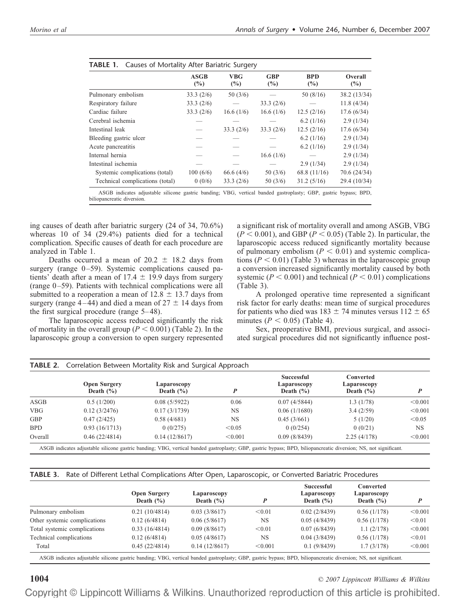|                                 | <b>ASGB</b><br>$(\%)$ | <b>VBG</b><br>$\frac{6}{2}$ | <b>GBP</b><br>(%) | <b>BPD</b><br>$\frac{6}{2}$ | Overall<br>(%) |  |
|---------------------------------|-----------------------|-----------------------------|-------------------|-----------------------------|----------------|--|
| Pulmonary embolism              | 33.3(2/6)             | 50(3/6)                     |                   | 50(8/16)                    | 38.2 (13/34)   |  |
| Respiratory failure             | 33.3(2/6)             |                             | 33.3(2/6)         |                             | 11.8(4/34)     |  |
| Cardiac failure                 | 33.3(2/6)             | 16.6(1/6)                   | 16.6(1/6)         | 12.5(2/16)                  | 17.6(6/34)     |  |
| Cerebral ischemia               |                       |                             |                   | 6.2(1/16)                   | 2.9(1/34)      |  |
| Intestinal leak                 |                       | 33.3(2/6)                   | 33.3(2/6)         | 12.5(2/16)                  | 17.6(6/34)     |  |
| Bleeding gastric ulcer          |                       |                             |                   | 6.2(1/16)                   | 2.9(1/34)      |  |
| Acute pancreatitis              |                       |                             |                   | 6.2(1/16)                   | 2.9(1/34)      |  |
| Internal hernia                 |                       |                             | 16.6(1/6)         |                             | 2.9(1/34)      |  |
| Intestinal ischemia             |                       |                             |                   | 2.9(1/34)                   | 2.9(1/34)      |  |
| Systemic complications (total)  | 100(6/6)              | 66.6(4/6)                   | 50(3/6)           | 68.8(11/16)                 | 70.6 (24/34)   |  |
| Technical complications (total) | 0(0/6)                | 33.3(2/6)                   | 50(3/6)           | 31.2(5/16)                  | 29.4 (10/34)   |  |

ASGB indicates adjustable silicone gastric banding; VBG, vertical banded gastroplasty; GBP, gastric bypass; BPD, biliopancreatic diversion.

ing causes of death after bariatric surgery (24 of 34, 70.6%) whereas 10 of 34 (29.4%) patients died for a technical complication. Specific causes of death for each procedure are analyzed in Table 1.

Deaths occurred a mean of  $20.2 \pm 18.2$  days from surgery (range 0-59). Systemic complications caused patients' death after a mean of 17.4  $\pm$  19.9 days from surgery (range  $0-59$ ). Patients with technical complications were all submitted to a reoperation a mean of  $12.8 \pm 13.7$  days from surgery (range 4–44) and died a mean of  $27 \pm 14$  days from the first surgical procedure (range 5– 48).

The laparoscopic access reduced significantly the risk of mortality in the overall group  $(P < 0.001)$  (Table 2). In the laparoscopic group a conversion to open surgery represented a significant risk of mortality overall and among ASGB, VBG  $(P < 0.001)$ , and GBP  $(P < 0.05)$  (Table 2). In particular, the laparoscopic access reduced significantly mortality because of pulmonary embolism  $(P < 0.01)$  and systemic complications  $(P < 0.01)$  (Table 3) whereas in the laparoscopic group a conversion increased significantly mortality caused by both systemic ( $P < 0.001$ ) and technical ( $P < 0.01$ ) complications (Table 3).

A prolonged operative time represented a significant risk factor for early deaths: mean time of surgical procedures for patients who died was  $183 \pm 74$  minutes versus  $112 \pm 65$ minutes  $(P < 0.05)$  (Table 4).

Sex, preoperative BMI, previous surgical, and associated surgical procedures did not significantly influence post-

|            | <b>TABLE 2.</b> Correlation Between Mortality Risk and Surgical Approach |                              |         |                                                   |                                           |           |  |  |  |
|------------|--------------------------------------------------------------------------|------------------------------|---------|---------------------------------------------------|-------------------------------------------|-----------|--|--|--|
|            | <b>Open Surgery</b><br>Death $(\% )$                                     | Laparoscopy<br>Death $(\% )$ | P       | <b>Successful</b><br>Laparoscopy<br>Death $(\% )$ | Converted<br>Laparoscopy<br>Death $(\% )$ | P         |  |  |  |
| ASGB       | 0.5(1/200)                                                               | 0.08(5/5922)                 | 0.06    | 0.07(4/5844)                                      | 1.3(1/78)                                 | < 0.001   |  |  |  |
| <b>VBG</b> | 0.12(3/2476)                                                             | 0.17(3/1739)                 | NS.     | 0.06(1/1680)                                      | 3.4(2/59)                                 | < 0.001   |  |  |  |
| <b>GBP</b> | 0.47(2/425)                                                              | 0.58(4/681)                  | NS.     | 0.45(3/661)                                       | 5(1/20)                                   | < 0.05    |  |  |  |
| <b>BPD</b> | 0.93(16/1713)                                                            | 0(0/275)                     | < 0.05  | 0(0/254)                                          | 0(0/21)                                   | <b>NS</b> |  |  |  |
| Overall    | 0.46(22/4814)                                                            | 0.14(12/8617)                | < 0.001 | 0.09(8/8439)                                      | 2.25(4/178)                               | < 0.001   |  |  |  |

| TABLE 3. Rate of Different Lethal Complications After Open, Laparoscopic, or Converted Bariatric Procedures |  |
|-------------------------------------------------------------------------------------------------------------|--|
|-------------------------------------------------------------------------------------------------------------|--|

|                              | <b>Open Surgery</b><br>Death $(\% )$ | Laparoscopy<br>Death $(\% )$ | P       | <b>Successful</b><br>Laparoscopy<br>Death $(\% )$ | Converted<br>Laparoscopy<br>Death $(\% )$ |         |
|------------------------------|--------------------------------------|------------------------------|---------|---------------------------------------------------|-------------------------------------------|---------|
| Pulmonary embolism           | 0.21(10/4814)                        | 0.03(3/8617)                 | < 0.01  | 0.02(2/8439)                                      | 0.56(1/178)                               | < 0.001 |
| Other systemic complications | 0.12(6/4814)                         | 0.06(5/8617)                 | NS.     | 0.05(4/8439)                                      | 0.56(1/178)                               | < 0.01  |
| Total systemic complications | 0.33(16/4814)                        | 0.09(8/8617)                 | < 0.01  | 0.07(6/8439)                                      | 1.1(2/178)                                | < 0.001 |
| Technical complications      | 0.12(6/4814)                         | 0.05(4/8617)                 | NS.     | 0.04(3/8439)                                      | 0.56(1/178)                               | < 0.01  |
| Total                        | 0.45(22/4814)                        | 0.14(12/8617)                | < 0.001 | 0.1(9/8439)                                       | 1.7(3/178)                                | < 0.001 |

ASGB indicates adjustable silicone gastric banding; VBG, vertical banded gastroplasty; GBP, gastric bypass; BPD, biliopancreatic diversion; NS, not significant.

**1004** *© 2007 Lippincott Williams & Wilkins*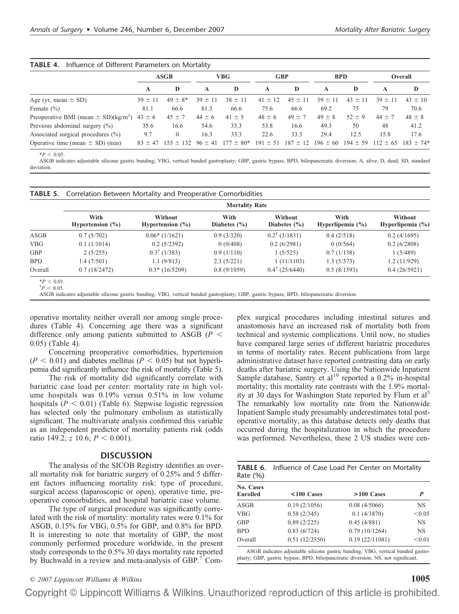|                                                      | <b>ASGB</b> |                                       |             | <b>VBG</b>    | <b>GBP</b>   |             | <b>BPD</b>                |              | Overall      |               |
|------------------------------------------------------|-------------|---------------------------------------|-------------|---------------|--------------|-------------|---------------------------|--------------|--------------|---------------|
|                                                      |             | D                                     |             | D             | A            | Ð           | A                         | Ð            | A            | D             |
| Age (yr, mean $\pm$ SD)                              | $39 \pm 11$ | $49 \pm 8^*$                          | $39 \pm 11$ | $38 \pm 11$   | $41 \pm 12$  | $45 \pm 11$ | $39 \pm 11$               | $43 \pm 11$  | $39 \pm 11$  | $43 \pm 10$   |
| Female $(\% )$                                       | 81.1        | 66.6                                  | 81.3        | 66.6          | 75.6         | 66.6        | 69.2                      | 75           | 79           | 70.6          |
| Preoperative BMI (mean $\pm$ SD)(kg/m <sup>2</sup> ) | $43 \pm 6$  | $45 \pm 7$                            | $44 \pm 6$  | $41 \pm 5$    | $48 \pm 6$   | $49 \pm 7$  | $49 \pm 8$                | $52 \pm 9$   | $44 \pm 7$   | $48 \pm 8$    |
| Previous abdominal surgery $(\%)$                    | 35.6        | 16.6                                  | 54.6        | 33.3          | 53.8         | 16.6        | 49.3                      | 50           | 48           | 41.2          |
| Associated surgical procedures $(\% )$               | 9.7         | $\left($                              | 16.3        | 33.3          | 22.6         | 33.3        | 29.4                      | 12.5         | 15.8         | 17.6          |
| Operative time (mean $\pm$ SD) (min)                 |             | $83 \pm 47$ 155 $\pm$ 132 96 $\pm$ 41 |             | $177 \pm 80*$ | $191 \pm 51$ |             | $187 \pm 12$ 196 $\pm$ 60 | $194 \pm 59$ | $112 \pm 65$ | $183 \pm 74*$ |

 $*P < 0.05$ 

ASGB indicates adjustable silicone gastric banding; VBG, vertical banded gastroplasty; GBP, gastric bypass; BPD, biliopancreatic diversion; A, alive; D, dead; SD, standard deviation.

| TABLE 5. Correlation Between Mortality and Preoperative Comorbidities |  |
|-----------------------------------------------------------------------|--|
|-----------------------------------------------------------------------|--|

|            | <b>Mortality Rate</b>        |                                 |                          |                             |                              |                                 |  |  |
|------------|------------------------------|---------------------------------|--------------------------|-----------------------------|------------------------------|---------------------------------|--|--|
|            | With<br>Hypertension $(\% )$ | Without<br>Hypertension $(\% )$ | With<br>Diabetes $(\% )$ | Without<br>Diabetes $(\% )$ | With<br>Hyperlipemia $(\% )$ | Without<br>Hyperlipemia $(\% )$ |  |  |
| ASGB       | 0.7(5/702)                   | $0.06*(1/1621)$                 | 0.9(3/320)               | $0.2^{\dagger}$ (3/1831)    | 0.4(2/518)                   | 0.2(4/1695)                     |  |  |
| <b>VBG</b> | 0.1(1/1014)                  | 0.2(5/2392)                     | 0(0/408)                 | 0.2(6/2981)                 | 0(0/564)                     | 0.2(6/2808)                     |  |  |
| <b>GBP</b> | 2(5/255)                     | $0.3^{\dagger}$ (1/383)         | 0.9(1/110)               | 1(5/525)                    | 0.7(1/138)                   | 1(5/489)                        |  |  |
| <b>BPD</b> | 1.4 (7/501)                  | 1.1(9/813)                      | 2.3(5/221)               | 1(11/1103)                  | 1.3(5/373)                   | 1.2 (11/929)                    |  |  |
| Overall    | 0.7(18/2472)                 | $0.3*(16/5209)$                 | 0.8(9/1059)              | $0.4^{\dagger}$ (25/6440)   | 0.5(8/1593)                  | 0.4(26/5921)                    |  |  |

 $*P < 0.01$ .  $^{\dagger}P < 0.05$ .

ASGB indicates adjustable silicone gastric banding; VBG, vertical banded gastroplasty; GBP, gastric bypass; BPD, biliopancreatic diversion.

operative mortality neither overall nor among single procedures (Table 4). Concerning age there was a significant difference only among patients submitted to ASGB (*P* 0.05) (Table 4).

Concerning preoperative comorbidities, hypertension  $(P < 0.01)$  and diabetes mellitus  $(P < 0.05)$  but not hyperlipemia did significantly influence the risk of mortality (Table 5).

The risk of mortality did significantly correlate with bariatric case load per center: mortality rate in high volume hospitals was 0.19% versus 0.51% in low volume hospitals  $(P < 0.01)$  (Table 6). Stepwise logistic regression has selected only the pulmonary embolism as statistically significant. The multivariate analysis confirmed this variable as an independent predictor of mortality patients risk (odds ratio 149.2;  $z$  10.6;  $P < 0.001$ ).

### **DISCUSSION**

The analysis of the SICOB Registry identifies an overall mortality risk for bariatric surgery of 0.25% and 5 different factors influencing mortality risk: type of procedure, surgical access (laparoscopic or open), operative time, preoperative comorbidities, and hospital bariatric case volume.

The type of surgical procedure was significantly correlated with the risk of mortality: mortality rates were 0.1% for ASGB, 0.15% for VBG, 0.5% for GBP, and 0.8% for BPD. It is interesting to note that mortality of GBP, the most commonly performed procedure worldwide, in the present study corresponds to the 0.5% 30 days mortality rate reported by Buchwald in a review and meta-analysis of GBP.<sup>7</sup> Complex surgical procedures including intestinal sutures and anastomosis have an increased risk of mortality both from technical and systemic complications. Until now, no studies have compared large series of different bariatric procedures in terms of mortality rates. Recent publications from large administrative dataset have reported contrasting data on early deaths after bariatric surgery. Using the Nationwide Inpatient Sample database, Santry et al<sup>19</sup> reported a  $0.2\%$  in-hospital mortality; this mortality rate contrasts with the 1.9% mortality at 30 days for Washington State reported by Flum et  $al<sup>5</sup>$ The remarkably low mortality rate from the Nationwide Inpatient Sample study presumably underestimates total postoperative mortality, as this database detects only deaths that occurred during the hospitalization in which the procedure was performed. Nevertheless, these 2 US studies were cen-

|          | <b>TABLE 6.</b> Influence of Case Load Per Center on Mortality |
|----------|----------------------------------------------------------------|
| Rate (%) |                                                                |

| <b>No. Cases</b><br><b>Enrolled</b> | $< 100$ Cases | $>100$ Cases   | P         |
|-------------------------------------|---------------|----------------|-----------|
| ASGB                                | 0.19(2/1056)  | 0.08(4/5066)   | <b>NS</b> |
| <b>VBG</b>                          | 0.58(2/345)   | 0.1(4/3870)    | < 0.05    |
| <b>GBP</b>                          | 0.89(2/225)   | 0.45(4/881)    | <b>NS</b> |
| <b>BPD</b>                          | 0.83(6/724)   | 0.79(10/1264)  | <b>NS</b> |
| Overall                             | 0.51(12/2350) | 0.19(22/11081) | < 0.01    |

ASGB indicates adjustable silicone gastric banding; VBG, vertical banded gastroplasty; GBP, gastric bypass; BPD, biliopancreatic diversion; NS, not significant.

# *© 2007 Lippincott Williams & Wilkins* **1005**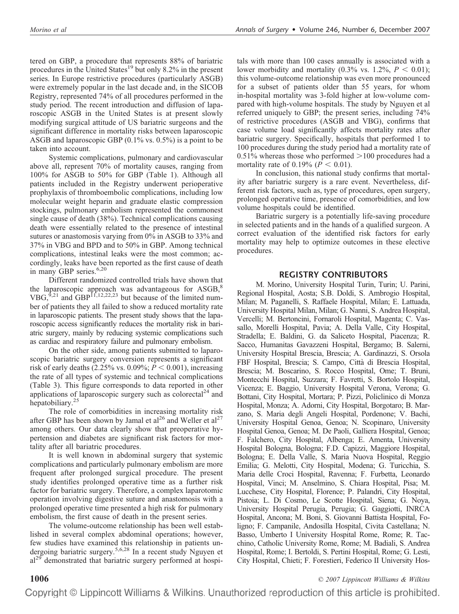tered on GBP, a procedure that represents 88% of bariatric procedures in the United States<sup>19</sup> but only 8.2% in the present series. In Europe restrictive procedures (particularly ASGB) were extremely popular in the last decade and, in the SICOB Registry, represented 74% of all procedures performed in the study period. The recent introduction and diffusion of laparoscopic ASGB in the United States is at present slowly modifying surgical attitude of US bariatric surgeons and the significant difference in mortality risks between laparoscopic ASGB and laparoscopic GBP (0.1% vs. 0.5%) is a point to be taken into account.

Systemic complications, pulmonary and cardiovascular above all, represent 70% of mortality causes, ranging from 100% for ASGB to 50% for GBP (Table 1). Although all patients included in the Registry underwent perioperative prophylaxis of thromboembolic complications, including low molecular weight heparin and graduate elastic compression stockings, pulmonary embolism represented the commonest single cause of death (38%). Technical complications causing death were essentially related to the presence of intestinal sutures or anastomosis varying from 0% in ASGB to 33% and 37% in VBG and BPD and to 50% in GBP. Among technical complications, intestinal leaks were the most common; accordingly, leaks have been reported as the first cause of death in many GBP series. $6,20$ 

Different randomized controlled trials have shown that the laparoscopic approach was advantageous for  $ASGB$ ,<sup>8</sup> VBG,  $^{9,21}$  and GBP<sup>11,12,22,23</sup> but because of the limited number of patients they all failed to show a reduced mortality rate in laparoscopic patients. The present study shows that the laparoscopic access significantly reduces the mortality risk in bariatric surgery, mainly by reducing systemic complications such as cardiac and respiratory failure and pulmonary embolism.

On the other side, among patients submitted to laparoscopic bariatric surgery conversion represents a significant risk of early deaths  $(2.25\% \text{ vs. } 0.09\%; P \leq 0.001)$ , increasing the rate of all types of systemic and technical complications (Table 3). This figure corresponds to data reported in other applications of laparoscopic surgery such as colorectal<sup>24</sup> and hepatobiliary.<sup>25</sup>

The role of comorbidities in increasing mortality risk after GBP has been shown by Jamal et  $al^{26}$  and Weller et  $al^{27}$ among others. Our data clearly show that preoperative hypertension and diabetes are significant risk factors for mortality after all bariatric procedures.

It is well known in abdominal surgery that systemic complications and particularly pulmonary embolism are more frequent after prolonged surgical procedure. The present study identifies prolonged operative time as a further risk factor for bariatric surgery. Therefore, a complex laparotomic operation involving digestive suture and anastomosis with a prolonged operative time presented a high risk for pulmonary embolism, the first cause of death in the present series.

The volume-outcome relationship has been well established in several complex abdominal operations; however, few studies have examined this relationship in patients undergoing bariatric surgery.5,6,28 In a recent study Nguyen et  $al<sup>29</sup>$  demonstrated that bariatric surgery performed at hospi-

tals with more than 100 cases annually is associated with a lower morbidity and mortality  $(0.3\% \text{ vs. } 1.2\%, P < 0.01)$ ; this volume-outcome relationship was even more pronounced for a subset of patients older than 55 years, for whom in-hospital mortality was 3-fold higher at low-volume compared with high-volume hospitals. The study by Nguyen et al referred uniquely to GBP; the present series, including 74% of restrictive procedures (ASGB and VBG), confirms that case volume load significantly affects mortality rates after bariatric surgery. Specifically, hospitals that performed 1 to 100 procedures during the study period had a mortality rate of  $0.51\%$  whereas those who performed  $>100$  procedures had a mortality rate of 0.19% ( $P < 0.01$ ).

In conclusion, this national study confirms that mortality after bariatric surgery is a rare event. Nevertheless, different risk factors, such as, type of procedures, open surgery, prolonged operative time, presence of comorbidities, and low volume hospitals could be identified.

Bariatric surgery is a potentially life-saving procedure in selected patients and in the hands of a qualified surgeon. A correct evaluation of the identified risk factors for early mortality may help to optimize outcomes in these elective procedures.

## **REGISTRY CONTRIBUTORS**

M. Morino, University Hospital Turin, Turin; U. Parini, Regional Hospital, Aosta; S.B. Doldi, S. Ambrogio Hospital, Milan; M. Paganelli, S. Raffaele Hospital, Milan; E. Lattuada, University Hospital Milan, Milan; G. Nanni, S. Andrea Hospital, Vercelli; M. Bertoncini, Fornaroli Hospital, Magenta; C. Vassallo, Morelli Hospital, Pavia; A. Della Valle, City Hospital, Stradella; E. Baldini, G. da Saliceto Hospital, Piacenza; R. Sacco, Humanitas Gavazzeni Hospital, Bergamo; B. Salerni, University Hospital Brescia, Brescia; A. Gardinazzi, S. Orsola FBF Hospital, Brescia; S. Campo, Città di Brescia Hospital, Brescia; M. Boscarino, S. Rocco Hospital, Ome; T. Bruni, Montecchi Hospital, Suzzara; F. Favretti, S. Bortolo Hospital, Vicenza; E. Baggio, University Hospital Verona, Verona; G. Bottani, City Hospital, Mortara; P. Pizzi, Policlinico di Monza Hospital, Monza; A. Adorni, City Hospital, Borgotaro; B. Marzano, S. Maria degli Angeli Hospital, Pordenone; V. Bachi, University Hospital Genoa, Genoa; N. Scopinaro, University Hospital Genoa, Genoa; M. De Paoli, Galliera Hospital, Genoa; F. Falchero, City Hospital, Albenga; E. Amenta, University Hospital Bologna, Bologna; F.D. Capizzi, Maggiore Hospital, Bologna; E. Della Valle, S. Maria Nuova Hospital, Reggio Emilia; G. Melotti, City Hospital, Modena; G. Turicchia, S. Maria delle Croci Hospital, Ravenna; F. Furbetta, Leonardo Hospital, Vinci; M. Anselmino, S. Chiara Hospital, Pisa; M. Lucchese, City Hospital, Florence; P. Palandri, City Hospital, Pistoia; L. Di Cosmo, Le Scotte Hospital, Siena; G. Noya, University Hospital Perugia, Perugia; G. Gaggiotti, INRCA Hospital, Ancona; M. Boni, S. Giovanni Battista Hospital, Foligno; F. Campanile, Andosilla Hospital, Civita Castellana; N. Basso, Umberto I University Hospital Rome, Rome; R. Tacchino, Catholic University Rome, Rome; M. Badiali, S. Andrea Hospital, Rome; I. Bertoldi, S. Pertini Hospital, Rome; G. Lesti, City Hospital, Chieti; F. Forestieri, Federico II University Hos-

### **1006** *© 2007 Lippincott Williams & Wilkins*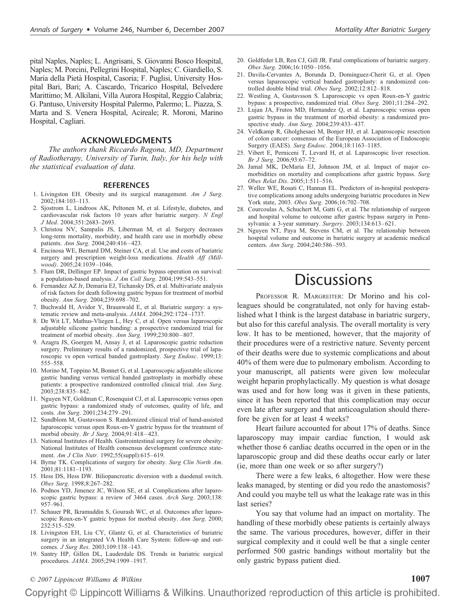pital Naples, Naples; L. Angrisani, S. Giovanni Bosco Hospital, Naples; M. Porcini, Pellegrini Hospital, Naples; C. Giardiello, S. Maria della Pieta` Hospital, Casoria; F. Puglisi, University Hospital Bari, Bari; A. Cascardo, Tricarico Hospital, Belvedere Marittimo; M. Alkilani, Villa Aurora Hospital, Reggio Calabria; G. Pantuso, University Hospital Palermo, Palermo; L. Piazza, S. Marta and S. Venera Hospital, Acireale; R. Moroni, Marino Hospital, Cagliari.

### **ACKNOWLEDGMENTS**

*The authors thank Riccardo Ragona, MD, Department of Radiotherapy, University of Turin, Italy, for his help with the statistical evaluation of data.*

#### **REFERENCES**

- 1. Livingston EH. Obesity and its surgical management. *Am J Surg*. 2002;184:103–113.
- 2. Sjostrom L, Lindroos AK, Peltonen M, et al. Lifestyle, diabetes, and cardiovascular risk factors 10 years after bariatric surgery. *N Engl J Med*. 2004;351:2683–2693.
- 3. Christou NV, Sampalis JS, Liberman M, et al. Surgery decreases long-term mortality, morbidity, and health care use in morbidly obese patients. *Ann Surg*. 2004;240:416 – 423.
- 4. Encinosa WE, Bernard DM, Steiner CA, et al. Use and costs of bariatric surgery and prescription weight-loss medications. *Health Aff (Millwood)*. 2005;24:1039 –1046.
- 5. Flum DR, Dellinger EP. Impact of gastric bypass operation on survival: a population-based analysis. *J Am Coll Surg*. 2004;199:543–551.
- 6. Fernandez AZ Jr, Demaria EJ, Tichansky DS, et al. Multivariate analysis of risk factors for death following gastric bypass for treatment of morbid obesity. *Ann Surg*. 2004;239:698 –702.
- 7. Buchwald H, Avidor Y, Braunwald E, et al. Bariatric surgery: a systematic review and meta-analysis. *JAMA*. 2004;292:1724 –1737.
- 8. De Wit LT, Mathus-Vliegen L, Hey C, et al. Open versus laparoscopic adjustable silicone gastric banding: a prospective randomized trial for treatment of morbid obesity. *Ann Surg*. 1999;230:800 – 807.
- 9. Azagra JS, Goergen M, Ansay J, et al. Laparoscopic gastric reduction surgery. Preliminary results of a randomized, prospective trial of laparoscopic vs open vertical banded gastroplasty. *Surg Endosc*. 1999;13: 555–558.
- 10. Morino M, Toppino M, Bonnet G, et al. Laparoscopic adjustable silicone gastric banding versus vertical banded gastroplasty in morbidly obese patients: a prospective randomized controlled clinical trial. *Ann Surg*. 2003;238:835– 842.
- 11. Nguyen NT, Goldman C, Rosenquist CJ, et al. Laparoscopic versus open gastric bypass: a randomized study of outcomes, quality of life, and costs. *Am Surg*. 2001;234:279 –291.
- 12. Sundblom M, Gustavsson S. Randomized clinical trial of hand-assisted laparoscopic versus open Roux-en-Y gastric bypass for the treatment of morbid obesity. *Br J Surg*. 2004;91:418 – 423.
- 13. National Institutes of Health. Gastrointestinal surgery for severe obesity: National Institutes of Health consensus development conference statement. *Am J Clin Nutr.* 1992;55(suppl):615– 619.
- 14. Byrne TK. Complications of surgery for obesity. *Surg Clin North Am*. 2001;81:1181–1193.
- 15. Hess DS, Hess DW. Biliopancreatic diversion with a duodenal switch. *Obes Surg*. 1998;8:267–282.
- 16. Podnos YD, Jimenez JC, Wilson SE, et al. Complications after laparoscopic gastric bypass: a review of 3464 cases. *Arch Surg*. 2003;138: 957–961.
- 17. Schauer PR, Ikramuddin S, Gourash WC, et al. Outcomes after laparoscopic Roux-en-Y gastric bypass for morbid obesity. *Ann Surg*. 2000; 232:515–529.
- 18. Livingston EH, Liu CY, Glantz G, et al. Characteristics of bariatric surgery in an integrated VA Health Care System: follow-up and outcomes. *J Surg Res*. 2003;109:138 –143.
- 19. Santry HP, Gillen DL, Lauderdale DS. Trends in bariatric surgical procedures. *JAMA*. 2005;294:1909 –1917.
- 20. Goldfeder LB, Ren CJ, Gill JR. Fatal complications of bariatric surgery. *Obes Surg*. 2006;16:1050 –1056.
- 21. Davila-Cervantes A, Borunda D, Dominguez-Cherit G, et al. Open versus laparoscopic vertical banded gastroplasty: a randomized controlled double blind trial. *Obes Surg*. 2002;12:812– 818.
- 22. Westling A, Gustavsson S. Laparoscopic vs open Roux-en-Y gastric bypass: a prospective, randomized trial. *Obes Surg*. 2001;11:284 –292.
- 23. Lujan JA, Frutos MD, Hernandez Q, et al. Laparoscopic versus open gastric bypass in the treatment of morbid obesity: a randomized prospective study. *Ann Surg*. 2004;239:433– 437.
- 24. Veldkamp R, Gholghesaei M, Bonjer HJ, et al. Laparoscopic resection of colon cancer: consensus of the European Association of Endoscopic Surgery (EAES). *Surg Endosc*. 2004;18:1163–1185.
- 25. Vibert E, Perniceni T, Levard H, et al. Laparoscopic liver resection. *Br J Surg*. 2006;93:67–72.
- 26. Jamal MK, DeMaria EJ, Johnson JM, et al. Impact of major comorbidities on mortality and complications after gastric bypass. *Surg Obes Relat Dis*. 2005;1:511–516.
- 27. Weller WE, Rosati C, Hannan EL. Predictors of in-hospital postoperative complications among adults undergoing bariatric procedures in New York state, 2003. *Obes Surg*. 2006;16:702–708.
- 28. Courcoulas A, Schuchert M, Gatti G, et al. The relationship of surgeon and hospital volume to outcome after gastric bypass surgery in Pennsylvania: a 3-year summary. *Surgery*. 2003;134:613– 621.
- 29. Nguyen NT, Paya M, Stevens CM, et al. The relationship between hospital volume and outcome in bariatric surgery at academic medical centers. *Ann Surg*. 2004;240:586 –593.

# **Discussions**

PROFESSOR R. MARGREITER: Dr Morino and his colleagues should be congratulated, not only for having established what I think is the largest database in bariatric surgery, but also for this careful analysis. The overall mortality is very low. It has to be mentioned, however, that the majority of their procedures were of a restrictive nature. Seventy percent of their deaths were due to systemic complications and about 40% of them were due to pulmonary embolism. According to your manuscript, all patients were given low molecular weight heparin prophylactically. My question is what dosage was used and for how long was it given in these patients, since it has been reported that this complication may occur even late after surgery and that anticoagulation should therefore be given for at least 4 weeks?

Heart failure accounted for about 17% of deaths. Since laparoscopy may impair cardiac function, I would ask whether those 6 cardiac deaths occurred in the open or in the laparoscopic group and did these deaths occur early or later (ie, more than one week or so after surgery?)

There were a few leaks, 6 altogether. How were these leaks managed, by stenting or did you redo the anastomosis? And could you maybe tell us what the leakage rate was in this last series?

You say that volume had an impact on mortality. The handling of these morbidly obese patients is certainly always the same. The various procedures, however, differ in their surgical complexity and it could well be that a single center performed 500 gastric bandings without mortality but the only gastric bypass patient died.

# *© 2007 Lippincott Williams & Wilkins* **1007**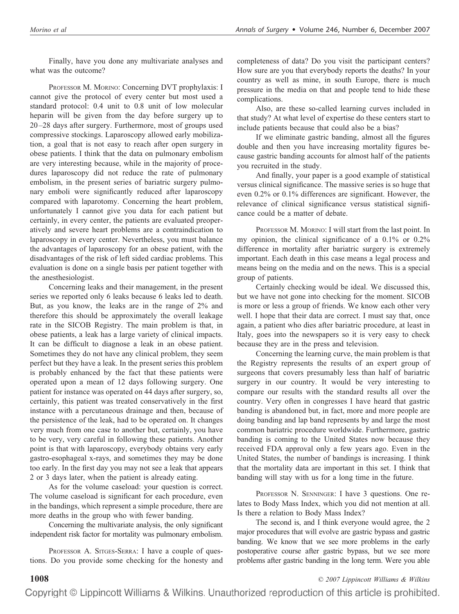Finally, have you done any multivariate analyses and what was the outcome?

PROFESSOR M. MORINO: Concerning DVT prophylaxis: I cannot give the protocol of every center but most used a standard protocol: 0.4 unit to 0.8 unit of low molecular heparin will be given from the day before surgery up to 20 –28 days after surgery. Furthermore, most of groups used compressive stockings. Laparoscopy allowed early mobilization, a goal that is not easy to reach after open surgery in obese patients. I think that the data on pulmonary embolism are very interesting because, while in the majority of procedures laparoscopy did not reduce the rate of pulmonary embolism, in the present series of bariatric surgery pulmonary emboli were significantly reduced after laparoscopy compared with laparotomy. Concerning the heart problem, unfortunately I cannot give you data for each patient but certainly, in every center, the patients are evaluated preoperatively and severe heart problems are a contraindication to laparoscopy in every center. Nevertheless, you must balance the advantages of laparoscopy for an obese patient, with the disadvantages of the risk of left sided cardiac problems. This evaluation is done on a single basis per patient together with the anesthesiologist.

Concerning leaks and their management, in the present series we reported only 6 leaks because 6 leaks led to death. But, as you know, the leaks are in the range of 2% and therefore this should be approximately the overall leakage rate in the SICOB Registry. The main problem is that, in obese patients, a leak has a large variety of clinical impacts. It can be difficult to diagnose a leak in an obese patient. Sometimes they do not have any clinical problem, they seem perfect but they have a leak. In the present series this problem is probably enhanced by the fact that these patients were operated upon a mean of 12 days following surgery. One patient for instance was operated on 44 days after surgery, so, certainly, this patient was treated conservatively in the first instance with a percutaneous drainage and then, because of the persistence of the leak, had to be operated on. It changes very much from one case to another but, certainly, you have to be very, very careful in following these patients. Another point is that with laparoscopy, everybody obtains very early gastro-esophageal x-rays, and sometimes they may be done too early. In the first day you may not see a leak that appears 2 or 3 days later, when the patient is already eating.

As for the volume caseload: your question is correct. The volume caseload is significant for each procedure, even in the bandings, which represent a simple procedure, there are more deaths in the group who with fewer banding.

Concerning the multivariate analysis, the only significant independent risk factor for mortality was pulmonary embolism.

PROFESSOR A. SITGES-SERRA: I have a couple of questions. Do you provide some checking for the honesty and completeness of data? Do you visit the participant centers? How sure are you that everybody reports the deaths? In your country as well as mine, in south Europe, there is much pressure in the media on that and people tend to hide these complications.

Also, are these so-called learning curves included in that study? At what level of expertise do these centers start to include patients because that could also be a bias?

If we eliminate gastric banding, almost all the figures double and then you have increasing mortality figures because gastric banding accounts for almost half of the patients you recruited in the study.

And finally, your paper is a good example of statistical versus clinical significance. The massive series is so huge that even 0.2% or 0.1% differences are significant. However, the relevance of clinical significance versus statistical significance could be a matter of debate.

PROFESSOR M. MORINO: I will start from the last point. In my opinion, the clinical significance of a 0.1% or 0.2% difference in mortality after bariatric surgery is extremely important. Each death in this case means a legal process and means being on the media and on the news. This is a special group of patients.

Certainly checking would be ideal. We discussed this, but we have not gone into checking for the moment. SICOB is more or less a group of friends. We know each other very well. I hope that their data are correct. I must say that, once again, a patient who dies after bariatric procedure, at least in Italy, goes into the newspapers so it is very easy to check because they are in the press and television.

Concerning the learning curve, the main problem is that the Registry represents the results of an expert group of surgeons that covers presumably less than half of bariatric surgery in our country. It would be very interesting to compare our results with the standard results all over the country. Very often in congresses I have heard that gastric banding is abandoned but, in fact, more and more people are doing banding and lap band represents by and large the most common bariatric procedure worldwide. Furthermore, gastric banding is coming to the United States now because they received FDA approval only a few years ago. Even in the United States, the number of bandings is increasing. I think that the mortality data are important in this set. I think that banding will stay with us for a long time in the future.

PROFESSOR N. SENNINGER: I have 3 questions. One relates to Body Mass Index, which you did not mention at all. Is there a relation to Body Mass Index?

The second is, and I think everyone would agree, the 2 major procedures that will evolve are gastric bypass and gastric banding. We know that we see more problems in the early postoperative course after gastric bypass, but we see more problems after gastric banding in the long term. Were you able

# **1008** *© 2007 Lippincott Williams & Wilkins*